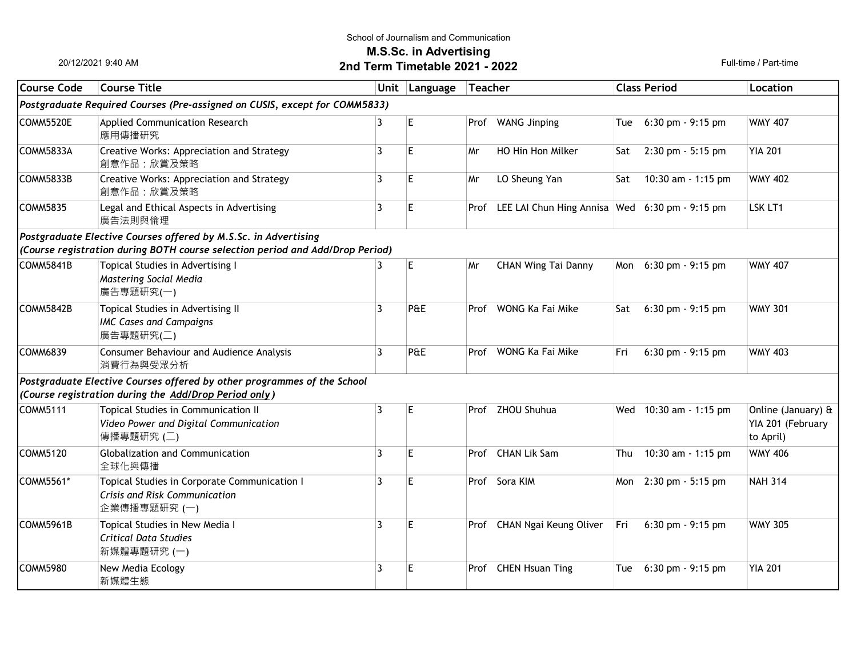#### School of Journalism and Communication

M.S.Sc. in Advertising

# 2nd Term Timetable 2021 - 2022 Full-time / Part-time

20/12/2021 9:40 AM

| <b>Course Code</b>                                                         | <b>Course Title</b>                                                                           |                | Unit Language | <b>Teacher</b> |                                                | <b>Class Period</b> |                                     | Location                                             |  |  |  |  |  |
|----------------------------------------------------------------------------|-----------------------------------------------------------------------------------------------|----------------|---------------|----------------|------------------------------------------------|---------------------|-------------------------------------|------------------------------------------------------|--|--|--|--|--|
| Postgraduate Required Courses (Pre-assigned on CUSIS, except for COMM5833) |                                                                                               |                |               |                |                                                |                     |                                     |                                                      |  |  |  |  |  |
| COMM5520E                                                                  | Applied Communication Research<br>應用傳播研究                                                      | 3              | E             |                | Prof WANG Jinping                              | Tue                 | $6:30$ pm $-9:15$ pm                | <b>WMY 407</b>                                       |  |  |  |  |  |
| COMM5833A                                                                  | Creative Works: Appreciation and Strategy<br>創意作品:欣賞及策略                                       | 3              | E             | Mr             | HO Hin Hon Milker                              | Sat                 | 2:30 pm - 5:15 pm                   | <b>YIA 201</b>                                       |  |  |  |  |  |
| COMM5833B                                                                  | Creative Works: Appreciation and Strategy<br>創意作品:欣賞及策略                                       | 3              | E             | Mr             | LO Sheung Yan                                  | Sat                 | 10:30 am - 1:15 pm                  | <b>WMY 402</b>                                       |  |  |  |  |  |
| <b>COMM5835</b>                                                            | Legal and Ethical Aspects in Advertising<br>廣告法則與倫理                                           | $\overline{3}$ | E             | Prof           | LEE LAI Chun Hing Annisa Wed 6:30 pm - 9:15 pm |                     |                                     | LSK LT1                                              |  |  |  |  |  |
|                                                                            | Postgraduate Elective Courses offered by M.S.Sc. in Advertising                               |                |               |                |                                                |                     |                                     |                                                      |  |  |  |  |  |
|                                                                            | (Course registration during BOTH course selection period and Add/Drop Period)                 |                |               |                |                                                |                     |                                     |                                                      |  |  |  |  |  |
| COMM5841B                                                                  | Topical Studies in Advertising I<br>Mastering Social Media<br>廣告專題研究(一)                       | 3              | E             | Mr             | <b>CHAN Wing Tai Danny</b>                     |                     | Mon 6:30 pm - 9:15 pm               | <b>WMY 407</b>                                       |  |  |  |  |  |
| lCOMM5842B                                                                 | Topical Studies in Advertising II<br><b>IMC Cases and Campaigns</b><br>廣告專題研究(二)              | 3              | P&E           |                | Prof WONG Ka Fai Mike                          | Sat                 | $6:30$ pm $-9:15$ pm                | <b>WMY 301</b>                                       |  |  |  |  |  |
| COMM6839                                                                   | Consumer Behaviour and Audience Analysis<br>消費行為與受眾分析                                         | 3              | P&E           |                | Prof WONG Ka Fai Mike                          | Fri                 | 6:30 pm - 9:15 pm                   | <b>WMY 403</b>                                       |  |  |  |  |  |
|                                                                            | Postgraduate Elective Courses offered by other programmes of the School                       |                |               |                |                                                |                     |                                     |                                                      |  |  |  |  |  |
|                                                                            | (Course registration during the Add/Drop Period only)                                         |                |               |                |                                                |                     |                                     |                                                      |  |  |  |  |  |
| COMM5111                                                                   | Topical Studies in Communication II<br>Video Power and Digital Communication<br>傳播專題研究 (二)    | 3              | E             |                | Prof ZHOU Shuhua                               |                     | Wed 10:30 am - 1:15 pm              | Online (January) &<br>YIA 201 (February<br>to April) |  |  |  |  |  |
| COMM5120                                                                   | Globalization and Communication<br>全球化與傳播                                                     | 3              | E             |                | Prof CHAN Lik Sam                              |                     | Thu 10:30 am - 1:15 pm              | <b>WMY 406</b>                                       |  |  |  |  |  |
| COMM5561*                                                                  | Topical Studies in Corporate Communication I<br>Crisis and Risk Communication<br>企業傳播專題研究 (一) | 3              | F             |                | Prof Sora KIM                                  |                     | Mon 2:30 pm - 5:15 pm               | <b>NAH 314</b>                                       |  |  |  |  |  |
| COMM5961B                                                                  | Topical Studies in New Media I<br><b>Critical Data Studies</b><br>新媒體專題研究 (一)                 | 3              | E             |                | Prof CHAN Ngai Keung Oliver                    | Fri                 | 6:30 pm - 9:15 pm                   | <b>WMY 305</b>                                       |  |  |  |  |  |
| <b>COMM5980</b>                                                            | New Media Ecology<br>新媒體生態                                                                    | 3              | E             | Prof           | <b>CHEN Hsuan Ting</b>                         | Tue                 | $6:30 \text{ pm} - 9:15 \text{ pm}$ | <b>YIA 201</b>                                       |  |  |  |  |  |